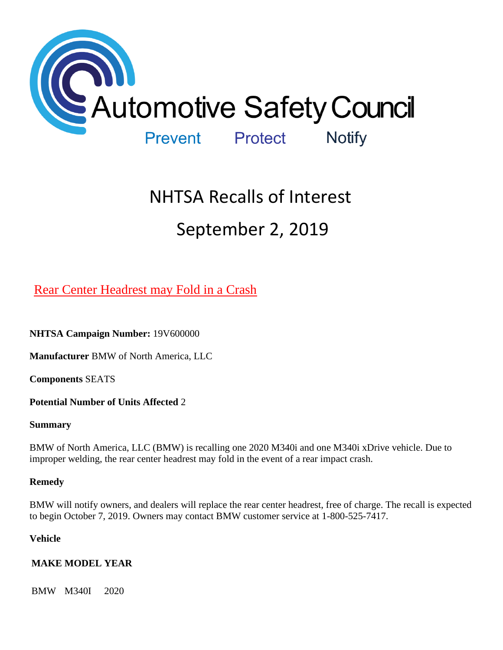

# NHTSA Recalls of Interest September 2, 2019

# [Rear Center Headrest may Fold in a Crash](https://www.nhtsa.gov/recalls?nhtsaId=19V600#recalls650)

**NHTSA Campaign Number:** 19V600000

**Manufacturer** BMW of North America, LLC

**Components** SEATS

**Potential Number of Units Affected** 2

### **Summary**

BMW of North America, LLC (BMW) is recalling one 2020 M340i and one M340i xDrive vehicle. Due to improper welding, the rear center headrest may fold in the event of a rear impact crash.

### **Remedy**

BMW will notify owners, and dealers will replace the rear center headrest, free of charge. The recall is expected to begin October 7, 2019. Owners may contact BMW customer service at 1-800-525-7417.

### **Vehicle**

### **MAKE MODEL YEAR**

BMW M340I 2020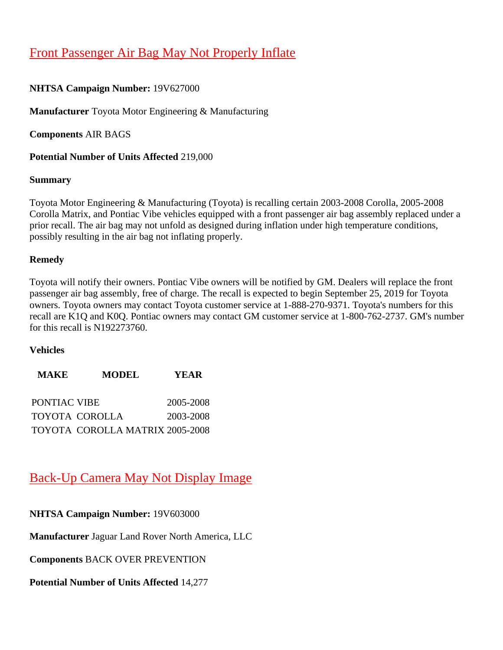# [Front Passenger Air Bag May Not Properly Inflate](https://www.nhtsa.gov/recalls?nhtsaId=19V627#recalls650)

### **NHTSA Campaign Number:** 19V627000

**Manufacturer** Toyota Motor Engineering & Manufacturing

**Components** AIR BAGS

**Potential Number of Units Affected** 219,000

### **Summary**

Toyota Motor Engineering & Manufacturing (Toyota) is recalling certain 2003-2008 Corolla, 2005-2008 Corolla Matrix, and Pontiac Vibe vehicles equipped with a front passenger air bag assembly replaced under a prior recall. The air bag may not unfold as designed during inflation under high temperature conditions, possibly resulting in the air bag not inflating properly.

### **Remedy**

Toyota will notify their owners. Pontiac Vibe owners will be notified by GM. Dealers will replace the front passenger air bag assembly, free of charge. The recall is expected to begin September 25, 2019 for Toyota owners. Toyota owners may contact Toyota customer service at 1-888-270-9371. Toyota's numbers for this recall are K1Q and K0Q. Pontiac owners may contact GM customer service at 1-800-762-2737. GM's number for this recall is N192273760.

### **Vehicles**

| <b>MAKE</b>  | <b>MODEL</b>                           | <b>YEAR</b> |
|--------------|----------------------------------------|-------------|
| PONTIAC VIBE |                                        | 2005-2008   |
|              | TOYOTA COROLLA                         | 2003-2008   |
|              | <b>TOYOTA COROLLA MATRIX 2005-2008</b> |             |

### [Back-Up Camera May Not Display Image](https://www.nhtsa.gov/recalls?nhtsaId=19V603#recalls650)

**NHTSA Campaign Number:** 19V603000

**Manufacturer** Jaguar Land Rover North America, LLC

**Components** BACK OVER PREVENTION

**Potential Number of Units Affected** 14,277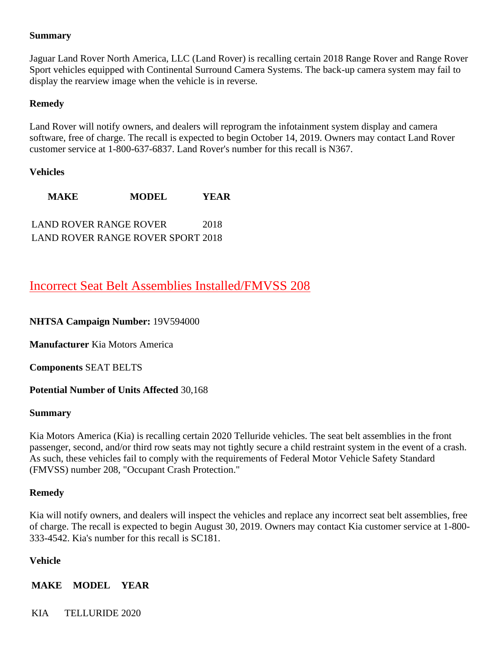### **Summary**

Jaguar Land Rover North America, LLC (Land Rover) is recalling certain 2018 Range Rover and Range Rover Sport vehicles equipped with Continental Surround Camera Systems. The back-up camera system may fail to display the rearview image when the vehicle is in reverse.

### **Remedy**

Land Rover will notify owners, and dealers will reprogram the infotainment system display and camera software, free of charge. The recall is expected to begin October 14, 2019. Owners may contact Land Rover customer service at 1-800-637-6837. Land Rover's number for this recall is N367.

### **Vehicles**

**MAKE MODEL YEAR** LAND ROVER RANGE ROVER 2018 LAND ROVER RANGE ROVER SPORT 2018

### [Incorrect Seat Belt Assemblies Installed/FMVSS 208](https://www.nhtsa.gov/recalls?nhtsaId=19V594#recalls650)

### **NHTSA Campaign Number:** 19V594000

**Manufacturer** Kia Motors America

**Components** SEAT BELTS

### **Potential Number of Units Affected** 30,168

### **Summary**

Kia Motors America (Kia) is recalling certain 2020 Telluride vehicles. The seat belt assemblies in the front passenger, second, and/or third row seats may not tightly secure a child restraint system in the event of a crash. As such, these vehicles fail to comply with the requirements of Federal Motor Vehicle Safety Standard (FMVSS) number 208, "Occupant Crash Protection."

### **Remedy**

Kia will notify owners, and dealers will inspect the vehicles and replace any incorrect seat belt assemblies, free of charge. The recall is expected to begin August 30, 2019. Owners may contact Kia customer service at 1-800- 333-4542. Kia's number for this recall is SC181.

### **Vehicle**

**MAKE MODEL YEAR**

KIA TELLURIDE 2020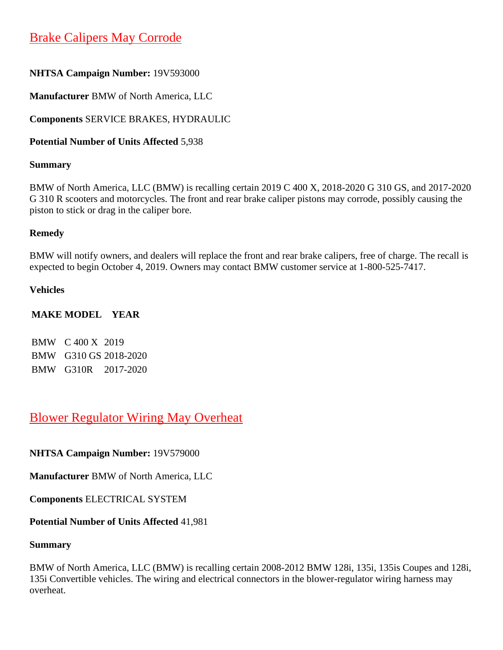# [Brake Calipers May Corrode](https://www.nhtsa.gov/recalls?nhtsaId=19V593#recalls650)

### **NHTSA Campaign Number:** 19V593000

**Manufacturer** BMW of North America, LLC

**Components** SERVICE BRAKES, HYDRAULIC

**Potential Number of Units Affected** 5,938

### **Summary**

BMW of North America, LLC (BMW) is recalling certain 2019 C 400 X, 2018-2020 G 310 GS, and 2017-2020 G 310 R scooters and motorcycles. The front and rear brake caliper pistons may corrode, possibly causing the piston to stick or drag in the caliper bore.

### **Remedy**

BMW will notify owners, and dealers will replace the front and rear brake calipers, free of charge. The recall is expected to begin October 4, 2019. Owners may contact BMW customer service at 1-800-525-7417.

### **Vehicles**

### **MAKE MODEL YEAR**

BMW C 400 X 2019 BMW G310 GS 2018-2020 BMW G310R 2017-2020

### [Blower Regulator Wiring May Overheat](https://www.nhtsa.gov/recalls?nhtsaId=19V579#recalls650)

**NHTSA Campaign Number:** 19V579000

**Manufacturer** BMW of North America, LLC

**Components** ELECTRICAL SYSTEM

### **Potential Number of Units Affected** 41,981

### **Summary**

BMW of North America, LLC (BMW) is recalling certain 2008-2012 BMW 128i, 135i, 135is Coupes and 128i, 135i Convertible vehicles. The wiring and electrical connectors in the blower-regulator wiring harness may overheat.